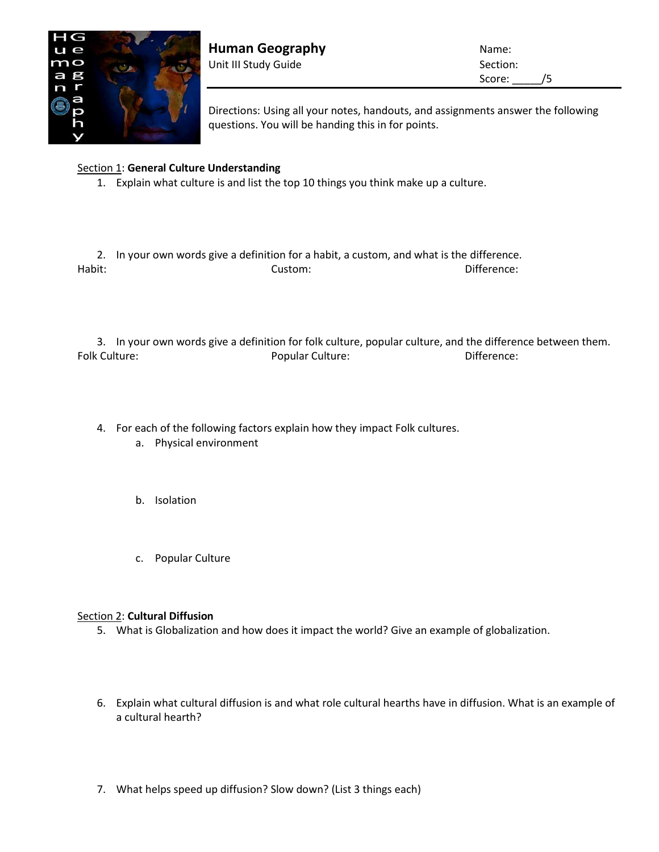

**Human Geography Name:** Name: Unit III Study Guide Section:

Score: /5

Directions: Using all your notes, handouts, and assignments answer the following questions. You will be handing this in for points.

## Section 1: **General Culture Understanding**

1. Explain what culture is and list the top 10 things you think make up a culture.

2. In your own words give a definition for a habit, a custom, and what is the difference. Habit: Custom: Difference:

3. In your own words give a definition for folk culture, popular culture, and the difference between them. Folk Culture: The Culture of Popular Culture: The Culture of Difference:

- 4. For each of the following factors explain how they impact Folk cultures.
	- a. Physical environment
	- b. Isolation
	- c. Popular Culture

## Section 2: **Cultural Diffusion**

- 5. What is Globalization and how does it impact the world? Give an example of globalization.
- 6. Explain what cultural diffusion is and what role cultural hearths have in diffusion. What is an example of a cultural hearth?
- 7. What helps speed up diffusion? Slow down? (List 3 things each)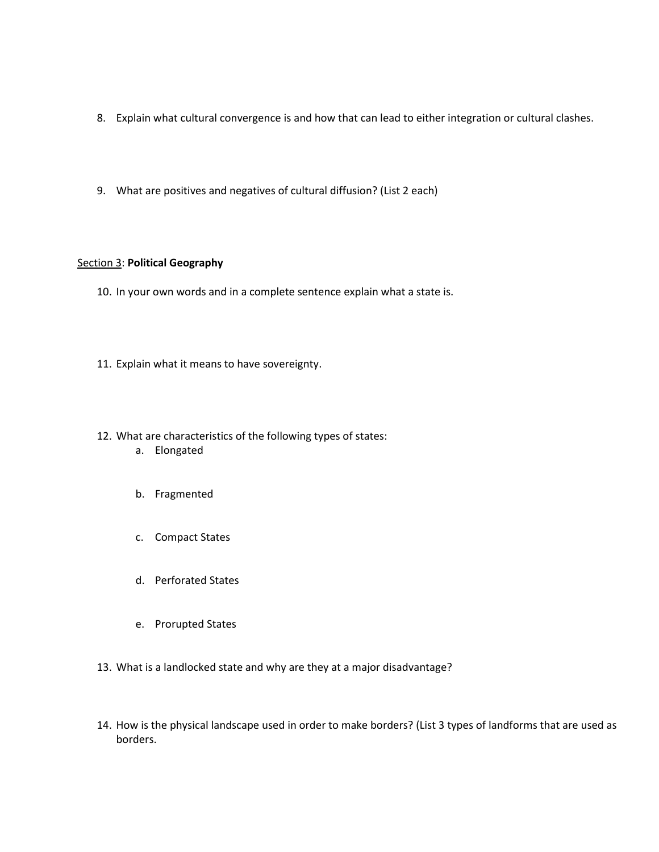- 8. Explain what cultural convergence is and how that can lead to either integration or cultural clashes.
- 9. What are positives and negatives of cultural diffusion? (List 2 each)

## Section 3: **Political Geography**

- 10. In your own words and in a complete sentence explain what a state is.
- 11. Explain what it means to have sovereignty.
- 12. What are characteristics of the following types of states:
	- a. Elongated
	- b. Fragmented
	- c. Compact States
	- d. Perforated States
	- e. Prorupted States
- 13. What is a landlocked state and why are they at a major disadvantage?
- 14. How is the physical landscape used in order to make borders? (List 3 types of landforms that are used as borders.